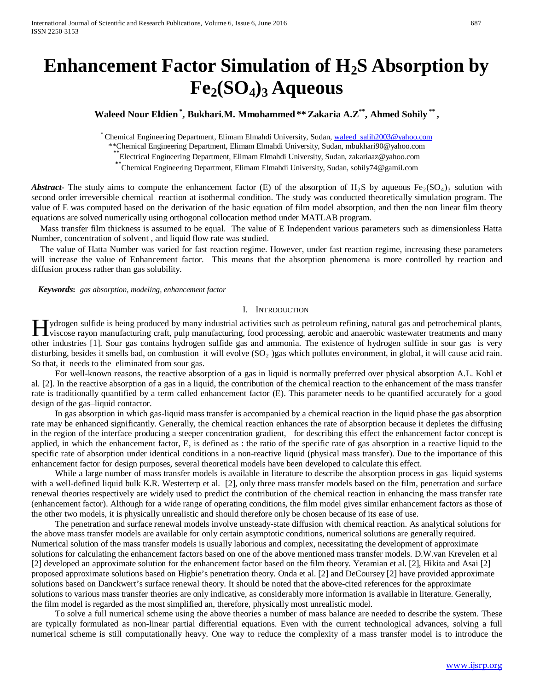# **Enhancement Factor Simulation of H2S Absorption by Fe2(SO4)3 Aqueous**

**Waleed Nour Eldien\* , Bukhari.M. Mmohammed\*\* Zakaria A.Z\*\*, Ahmed Sohily \*\* ,** 

\* Chemical Engineering Department, Elimam Elmahdi University, Sudan, [waleed\\_salih2003@yahoo.com](mailto:waleed_salih2003@yahoo.com)

\*\*Chemical Engineering Department, Elimam Elmahdi University, Sudan, mbukhari90@yahoo.com

**\*\***Electrical Engineering Department, Elimam Elmahdi University, Sudan, zakariaaz@yahoo.com

**\*\***Chemical Engineering Department, Elimam Elmahdi University, Sudan, [sohily74@gamil.com](mailto:sohily74@gamil.com)

**Abstract-** The study aims to compute the enhancement factor (E) of the absorption of H<sub>2</sub>S by aqueous Fe<sub>2</sub>(SO<sub>4</sub>)<sub>3</sub> solution with second order irreversible chemical reaction at isothermal condition. The study was conducted theoretically simulation program. The value of E was computed based on the derivation of the basic equation of film model absorption, and then the non linear film theory equations are solved numerically using orthogonal collocation method under MATLAB program.

Mass transfer film thickness is assumed to be equal. The value of E Independent various parameters such as dimensionless Hatta Number, concentration of solvent , and liquid flow rate was studied.

The value of Hatta Number was varied for fast reaction regime. However, under fast reaction regime, increasing these parameters will increase the value of Enhancement factor. This means that the absorption phenomena is more controlled by reaction and diffusion process rather than gas solubility.

 *Keywords***:** *gas absorption, modeling, enhancement factor*

# I. INTRODUCTION

ydrogen sulfide is being produced by many industrial activities such as petroleum refining, natural gas and petrochemical plants, I ydrogen sulfide is being produced by many industrial activities such as petroleum refining, natural gas and petrochemical plants,<br>
viscose rayon manufacturing craft, pulp manufacturing, food processing, aerobic and anaer other industries [1]. Sour gas contains hydrogen sulfide gas and ammonia. The existence of hydrogen sulfide in sour gas is very disturbing, besides it smells bad, on combustion it will evolve (SO<sub>2</sub>) gas which pollutes environment, in global, it will cause acid rain. So that, it needs to the eliminated from sour gas.

 For well-known reasons, the reactive absorption of a gas in liquid is normally preferred over physical absorption A.L. Kohl et al. [2]. In the reactive absorption of a gas in a liquid, the contribution of the chemical reaction to the enhancement of the mass transfer rate is traditionally quantified by a term called enhancement factor (E). This parameter needs to be quantified accurately for a good design of the gas–liquid contactor.

In gas absorption in which gas-liquid mass transfer is accompanied by a chemical reaction in the liquid phase the gas absorption rate may be enhanced significantly. Generally, the chemical reaction enhances the rate of absorption because it depletes the diffusing in the region of the interface producing a steeper concentration gradient, for describing this effect the enhancement factor concept is applied, in which the enhancement factor, E, is defined as : the ratio of the specific rate of gas absorption in a reactive liquid to the specific rate of absorption under identical conditions in a non-reactive liquid (physical mass transfer). Due to the importance of this enhancement factor for design purposes, several theoretical models have been developed to calculate this effect.

While a large number of mass transfer models is available in literature to describe the absorption process in gas-liquid systems with a well-defined liquid bulk K.R. Westerterp et al. [2], only three mass transfer models based on the film, penetration and surface renewal theories respectively are widely used to predict the contribution of the chemical reaction in enhancing the mass transfer rate (enhancement factor). Although for a wide range of operating conditions, the film model gives similar enhancement factors as those of the other two models, it is physically unrealistic and should therefore only be chosen because of its ease of use.

The penetration and surface renewal models involve unsteady-state diffusion with chemical reaction. As analytical solutions for the above mass transfer models are available for only certain asymptotic conditions, numerical solutions are generally required. Numerical solution of the mass transfer models is usually laborious and complex, necessitating the development of approximate solutions for calculating the enhancement factors based on one of the above mentioned mass transfer models. D.W.van Krevelen et al [2] developed an approximate solution for the enhancement factor based on the film theory. Yeramian et al. [2], Hikita and Asai [2] proposed approximate solutions based on Higbie's penetration theory. Onda et al. [2] and DeCoursey [2] have provided approximate solutions based on Danckwert's surface renewal theory. It should be noted that the above-cited references for the approximate solutions to various mass transfer theories are only indicative, as considerably more information is available in literature. Generally, the film model is regarded as the most simplified an, therefore, physically most unrealistic model.

To solve a full numerical scheme using the above theories a number of mass balance are needed to describe the system. These are typically formulated as non-linear partial differential equations. Even with the current technological advances, solving a full numerical scheme is still computationally heavy. One way to reduce the complexity of a mass transfer model is to introduce the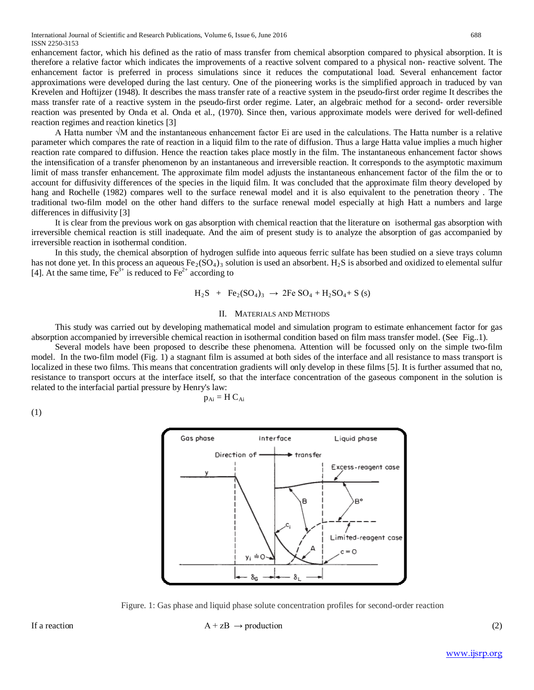International Journal of Scientific and Research Publications, Volume 6, Issue 6, June 2016 688 ISSN 2250-3153

enhancement factor, which his defined as the ratio of mass transfer from chemical absorption compared to physical absorption. It is therefore a relative factor which indicates the improvements of a reactive solvent compared to a physical non- reactive solvent. The enhancement factor is preferred in process simulations since it reduces the computational load. Several enhancement factor approximations were developed during the last century. One of the pioneering works is the simplified approach in traduced by van Krevelen and Hoftijzer (1948). It describes the mass transfer rate of a reactive system in the pseudo-first order regime It describes the mass transfer rate of a reactive system in the pseudo-first order regime. Later, an algebraic method for a second- order reversible reaction was presented by Onda et al. Onda et al., (1970). Since then, various approximate models were derived for well-defined reaction regimes and reaction kinetics [3]

A Hatta number √M and the instantaneous enhancement factor Ei are used in the calculations. The Hatta number is a relative parameter which compares the rate of reaction in a liquid film to the rate of diffusion. Thus a large Hatta value implies a much higher reaction rate compared to diffusion. Hence the reaction takes place mostly in the film. The instantaneous enhancement factor shows the intensification of a transfer phenomenon by an instantaneous and irreversible reaction. It corresponds to the asymptotic maximum limit of mass transfer enhancement. The approximate film model adjusts the instantaneous enhancement factor of the film the or to account for diffusivity differences of the species in the liquid film. It was concluded that the approximate film theory developed by hang and Rochelle (1982) compares well to the surface renewal model and it is also equivalent to the penetration theory . The traditional two-film model on the other hand differs to the surface renewal model especially at high Hatt a numbers and large differences in diffusivity [3]

It is clear from the previous work on gas absorption with chemical reaction that the literature on isothermal gas absorption with irreversible chemical reaction is still inadequate. And the aim of present study is to analyze the absorption of gas accompanied by irreversible reaction in isothermal condition.

In this study, the chemical absorption of hydrogen sulfide into aqueous ferric sulfate has been studied on a sieve trays column has not done yet. In this process an aqueous  $Fe<sub>2</sub>(SO<sub>4</sub>)<sub>3</sub>$  solution is used an absorbent. H<sub>2</sub>S is absorbed and oxidized to elemental sulfur [4]. At the same time,  $Fe^{3+}$  is reduced to  $Fe^{2+}$  according to

$$
H_2S + Fe_2(SO_4)_3 \rightarrow 2Fe SO_4 + H_2SO_4 + S
$$
 (s)

#### II. MATERIALS AND METHODS

This study was carried out by developing mathematical model and simulation program to estimate enhancement factor for gas absorption accompanied by irreversible chemical reaction in isothermal condition based on film mass transfer model. (See Fig..1).

Several models have been proposed to describe these phenomena. Attention will be focussed only on the simple two-film model. In the two-film model (Fig. 1) a stagnant film is assumed at both sides of the interface and all resistance to mass transport is localized in these two films. This means that concentration gradients will only develop in these films [5]. It is further assumed that no, resistance to transport occurs at the interface itself, so that the interface concentration of the gaseous component in the solution is related to the interfacial partial pressure by Henry's law:

$$
\mathbf{p}_{\mathrm{Ai}} = \mathbf{H} \, \mathbf{C}_{\mathrm{Ai}}
$$

(1)



Figure. 1: Gas phase and liquid phase solute concentration profiles for second-order reaction

If a reaction  $A + zB \rightarrow production$  (2)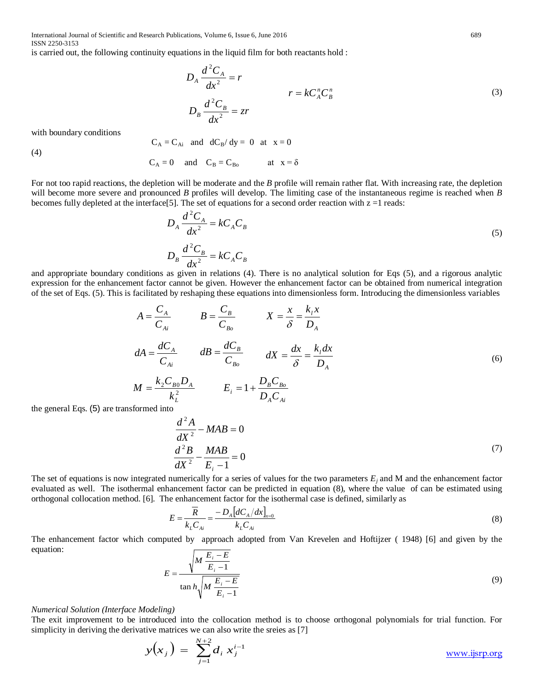International Journal of Scientific and Research Publications, Volume 6, Issue 6, June 2016 689 ISSN 2250-3153

is carried out, the following continuity equations in the liquid film for both reactants hold :

$$
D_A \frac{d^2 C_A}{dx^2} = r
$$
  
\n
$$
D_B \frac{d^2 C_B}{dx^2} = zr
$$
  
\n
$$
(3)
$$

with boundary conditions

 $C_A = C_{Ai}$  and  $dC_B/dy = 0$  at  $x = 0$ 

(4)

$$
C_A = 0
$$
 and  $C_B = C_{B_0}$  at  $x = \delta$ 

For not too rapid reactions, the depletion will be moderate and the *B* profile will remain rather flat. With increasing rate, the depletion will become more severe and pronounced *B* profiles will develop. The limiting case of the instantaneous regime is reached when *B* becomes fully depleted at the interface[5]. The set of equations for a second order reaction with  $z = 1$  reads:

$$
D_A \frac{d^2 C_A}{dx^2} = k C_A C_B
$$
  
\n
$$
D_B \frac{d^2 C_B}{dx^2} = k C_A C_B
$$
\n(5)

and appropriate boundary conditions as given in relations (4). There is no analytical solution for Eqs (5), and a rigorous analytic expression for the enhancement factor cannot be given. However the enhancement factor can be obtained from numerical integration of the set of Eqs. (5). This is facilitated by reshaping these equations into dimensionless form. Introducing the dimensionless variables

$$
A = \frac{C_A}{C_{Ai}} \qquad B = \frac{C_B}{C_{Bo}} \qquad X = \frac{x}{\delta} = \frac{k_i x}{D_A}
$$
  

$$
dA = \frac{dC_A}{C_{Ai}} \qquad dB = \frac{dC_B}{C_{Bo}} \qquad dX = \frac{dx}{\delta} = \frac{k_i dx}{D_A}
$$
  

$$
M = \frac{k_2 C_{BO} D_A}{k_L^2} \qquad E_i = 1 + \frac{D_B C_{Bo}}{D_A C_{Ai}}
$$
 (6)

the general Eqs. (5) are transformed into

$$
\frac{d^2A}{dX^2} - MAB = 0
$$
\n
$$
\frac{d^2B}{dX^2} - \frac{MAB}{E_i - 1} = 0
$$
\n(7)

The set of equations is now integrated numerically for a series of values for the two parameters  $E_i$  and M and the enhancement factor evaluated as well. The isothermal enhancement factor can be predicted in equation (8), where the value of can be estimated using orthogonal collocation method. [6]. The enhancement factor for the isothermal case is defined, similarly as

$$
E = \frac{\overline{R}}{k_L C_{Ai}} = \frac{-D_A [dC_A/dx]_{x=0}}{k_L C_{Ai}}
$$
(8)

The enhancement factor which computed by approach adopted from Van Krevelen and Hoftijzer ( 1948) [6] and given by the equation:  $\Gamma$ 

$$
E = \frac{\sqrt{M \frac{E_i - E}{E_i - 1}}}{\tan h \sqrt{M \frac{E_i - E}{E_i - 1}}}
$$
(9)

# *Numerical Solution (Interface Modeling)*

The exit improvement to be introduced into the collocation method is to choose orthogonal polynomials for trial function. For simplicity in deriving the derivative matrices we can also write the sreies as [7]

$$
y(x_j) = \sum_{j=1}^{N+2} d_i x_j^{i-1}
$$
 www.jsrp.org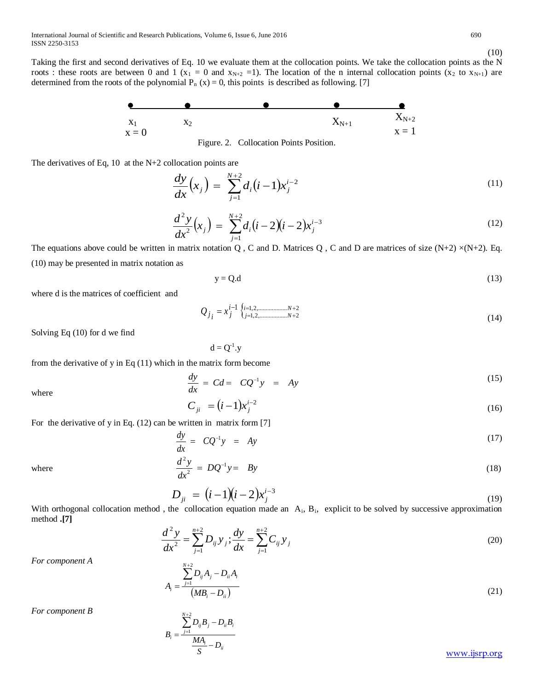International Journal of Scientific and Research Publications, Volume 6, Issue 6, June 2016 690 ISSN 2250-3153

Taking the first and second derivatives of Eq. 10 we evaluate them at the collocation points. We take the collocation points as the N roots : these roots are between 0 and 1 ( $x_1 = 0$  and  $x_{N+2} = 1$ ). The location of the n internal collocation points ( $x_2$  to  $x_{N+1}$ ) are determined from the roots of the polynomial  $P_n(x) = 0$ , this points is described as following. [7]



Figure. 2. Collocation Points Position.

The derivatives of Eq, 10 at the N+2 collocation points are

$$
\frac{dy}{dx}\left(x_j\right) = \sum_{j=1}^{N+2} d_i \left(i-1\right) x_j^{i-2} \tag{11}
$$

$$
\frac{d^2y}{dx^2}(x_j) = \sum_{j=1}^{N+2} d_i(i-2)(i-2)x_j^{i-3}
$$
\n(12)

The equations above could be written in matrix notation Q, C and D. Matrices Q, C and D are matrices of size  $(N+2) \times (N+2)$ . Eq. (10) may be presented in matrix notation as

$$
y = Q.d
$$
 (13)

where d is the matrices of coefficient and

$$
Q_{j_i} = x_j^{i-1} \begin{cases} \n\text{if } j = 1, 2, \dots, N+2 \\ \n\text{if } j = 1, 2, \dots, N+2 \n\end{cases} \tag{14}
$$

Solving Eq (10) for d we find

 $d = Q^{-1}$ .y

from the derivative of y in Eq (11) which in the matrix form become

$$
\frac{dy}{dx} = Cd = CQ^{-1}y = Ay \tag{15}
$$

where

$$
C_{ji} = (i-1)x_j^{i-2}
$$
 (16)

For the derivative of y in Eq. (12) can be written in matrix form [7]

*N* + 2

$$
\frac{dy}{dx} = CQ^{-1}y = Ay \tag{17}
$$

where 
$$
\frac{d^2y}{dx^2} = DQ^{-1}y = By
$$
 (18)

$$
D_{ji} = (i-1)(i-2)x_j^{i-3}
$$
\n(19)

With orthogonal collocation method, the collocation equation made an  $A_i$ ,  $B_i$ , explicit to be solved by successive approximation method **.[7]**

$$
\frac{d^2 y}{dx^2} = \sum_{j=1}^{n+2} D_{ij} y_j; \frac{dy}{dx} = \sum_{j=1}^{n+2} C_{ij} y_j
$$
\n(20)

*For component A* 

$$
A_{i} = \frac{\sum_{j=1}^{n} D_{ij} A_{j} - D_{ii} A_{i}}{(MB_{i} - D_{ii})}
$$
\n(21)

*For component B* 

$$
B_i = \frac{\sum_{j=1}^{N+2} D_{ij} B_j - D_{ii} B_i}{\frac{MA_i}{S} - D_{ii}}
$$
 www.ijsrp.org

(10)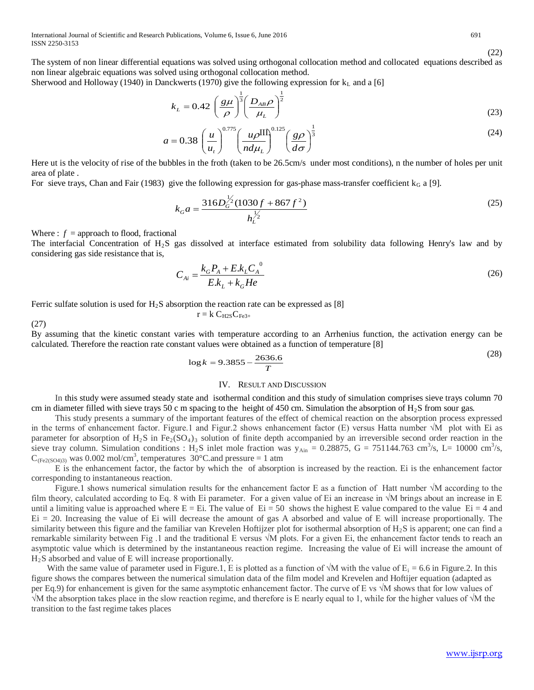International Journal of Scientific and Research Publications, Volume 6, Issue 6, June 2016 691 ISSN 2250-3153

The system of non linear differential equations was solved using orthogonal collocation method and collocated equations described as non linear algebraic equations was solved using orthogonal collocation method.

Sherwood and Holloway (1940) in Danckwerts (1970) give the following expression for  $k<sub>L</sub>$  and a [6]

$$
k_L = 0.42 \left(\frac{g\mu}{\rho}\right)^{\frac{1}{3}} \left(\frac{D_{AB}\rho}{\mu_L}\right)^{\frac{1}{2}}
$$
(23)

$$
a = 0.38 \left(\frac{u}{u_t}\right)^{0.775} \left(\frac{u\rho^{\text{III}}}{nd\mu_t}\right)^{0.125} \left(\frac{g\rho}{d\sigma}\right)^{\frac{1}{3}}
$$
(24)

Here ut is the velocity of rise of the bubbles in the froth (taken to be 26.5cm/s under most conditions), n the number of holes per unit area of plate .

For sieve trays, Chan and Fair (1983) give the following expression for gas-phase mass-transfer coefficient  $k_G$  a [9].

$$
k_G a = \frac{316D_G^{\frac{1}{2}}(1030f + 867f^2)}{h_L^{\frac{1}{2}}} \tag{25}
$$

Where :  $f =$ approach to flood, fractional

The interfacial Concentration of  $H_2S$  gas dissolved at interface estimated from solubility data following Henry's law and by considering gas side resistance that is,

$$
C_{Ai} = \frac{k_G P_A + E k_L C_A^{0}}{E.k_L + k_G He}
$$
 (26)

Ferric sulfate solution is used for  $H_2S$  absorption the reaction rate can be expressed as [8]

 $r = k C_{H2S} C_{Fe3+}$ 

(27)

By assuming that the kinetic constant varies with temperature according to an Arrhenius function, the activation energy can be calculated. Therefore the reaction rate constant values were obtained as a function of temperature [8]

$$
\log k = 9.3855 - \frac{2636.6}{T}
$$
 (28)

## IV. RESULT AND DISCUSSION

In this study were assumed steady state and isothermal condition and this study of simulation comprises sieve trays column 70 cm in diameter filled with sieve trays 50 c m spacing to the height of 450 cm. Simulation the absorption of H2S from sour gas*.*

This study presents a summary of the important features of the effect of chemical reaction on the absorption process expressed in the terms of enhancement factor. Figure.1 and Figur.2 shows enhancement factor (E) versus Hatta number √M plot with Ei as parameter for absorption of  $H_2S$  in  $Fe_2(SO_4)$ <sub>3</sub> solution of finite depth accompanied by an irreversible second order reaction in the sieve tray column. Simulation conditions : H<sub>2</sub>S inlet mole fraction was  $y_{\text{Ain}} = 0.28875$ , G = 751144.763 cm<sup>3</sup>/s, L= 10000 cm<sup>3</sup>/s,  $C_{(Fe2(SO4)3)}$  was 0.002 mol/cm<sup>3</sup>, temperatures 30°C.and pressure = 1 atm

E is the enhancement factor, the factor by which the of absorption is increased by the reaction. Ei is the enhancement factor corresponding to instantaneous reaction.

Figure.1 shows numerical simulation results for the enhancement factor E as a function of Hatt number √M according to the film theory, calculated according to Eq. 8 with Ei parameter. For a given value of Ei an increase in √M brings about an increase in E until a limiting value is approached where  $E = Ei$ . The value of  $Ei = 50$  shows the highest E value compared to the value  $Ei = 4$  and Ei = 20. Increasing the value of Ei will decrease the amount of gas A absorbed and value of E will increase proportionally. The similarity between this figure and the familiar van Krevelen Hoftijzer plot for isothermal absorption of  $H_2S$  is apparent; one can find a remarkable similarity between Fig .1 and the traditional E versus √M plots. For a given Ei, the enhancement factor tends to reach an asymptotic value which is determined by the instantaneous reaction regime. Increasing the value of Ei will increase the amount of  $H<sub>2</sub>S$  absorbed and value of E will increase proportionally.

With the same value of parameter used in Figure.1, E is plotted as a function of  $\sqrt{M}$  with the value of E<sub>i</sub> = 6.6 in Figure.2. In this figure shows the compares between the numerical simulation data of the film model and Krevelen and Hoftijer equation (adapted as per Eq.9) for enhancement is given for the same asymptotic enhancement factor. The curve of E vs √M shows that for low values of √M the absorption takes place in the slow reaction regime, and therefore is E nearly equal to 1, while for the higher values of √M the transition to the fast regime takes places

$$
f_{\rm{max}}
$$

(22)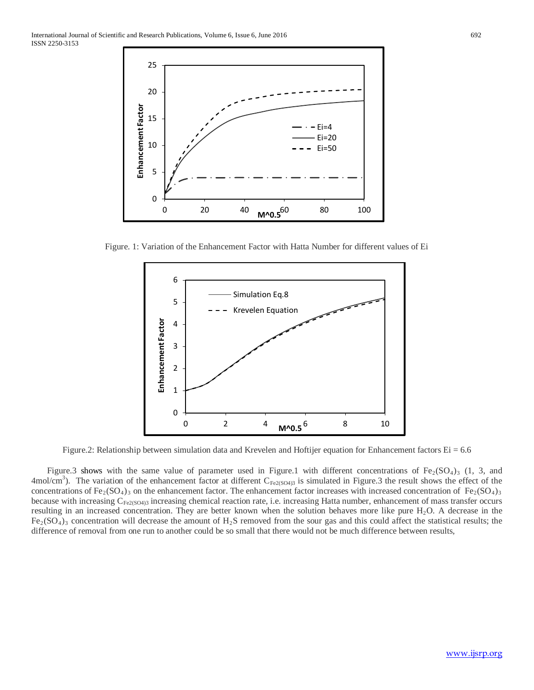

Figure. 1: Variation of the Enhancement Factor with Hatta Number for different values of Ei



Figure.2: Relationship between simulation data and Krevelen and Hoftijer equation for Enhancement factors  $Ei = 6.6$ 

Figure.3 shows with the same value of parameter used in Figure.1 with different concentrations of  $Fe<sub>2</sub>(SO<sub>4</sub>)<sub>3</sub>$  (1, 3, and 4mol/cm<sup>3</sup>). The variation of the enhancement factor at different  $C_{Fe2(SO4)3}$  is simulated in Figure.3 the result shows the effect of the concentrations of Fe<sub>2</sub>(SO<sub>4</sub>)<sub>3</sub> on the enhancement factor. The enhancement factor increases with increased concentration of Fe<sub>2</sub>(SO<sub>4</sub>)<sub>3</sub> because with increasing C<sub>Fe2(SO4)3</sub> increasing chemical reaction rate, i.e. increasing Hatta number, enhancement of mass transfer occurs resulting in an increased concentration. They are better known when the solution behaves more like pure  $H_2O$ . A decrease in the  $Fe<sub>2</sub>(SO<sub>4</sub>)<sub>3</sub>$  concentration will decrease the amount of H<sub>2</sub>S removed from the sour gas and this could affect the statistical results; the difference of removal from one run to another could be so small that there would not be much difference between results,